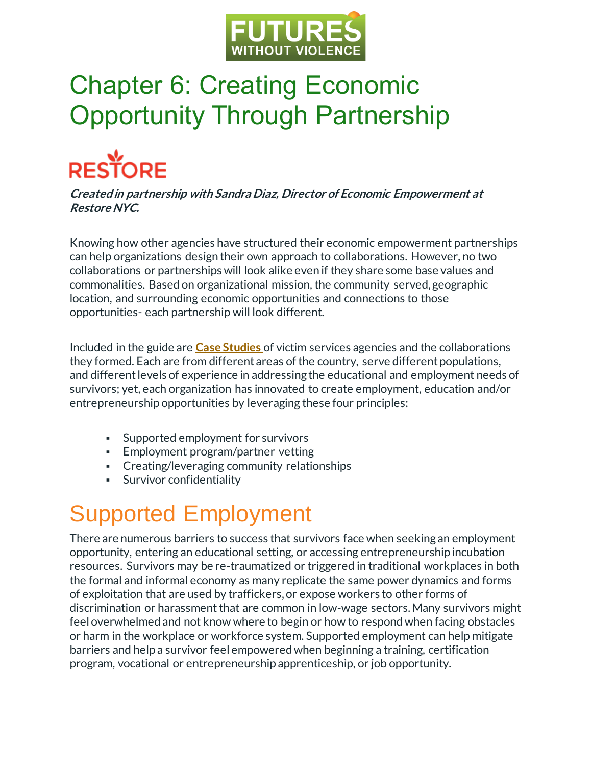

## Chapter 6: Creating Economic Opportunity Through Partnership

# **RESTORE**

**Created in partnership with Sandra Diaz, Director of Economic Empowerment at Restore NYC.**

Knowing how other agencies have structured their economic empowerment partnerships can help organizations design their own approach to collaborations. However, no two collaborations or partnerships will look alike even if they share some base values and commonalities. Based on organizational mission, the community served, geographic location, and surrounding economic opportunities and connections to those opportunities- each partnership will look different.

Included in the guide are **[Case Studies](https://collaborativeresponses.com/case-studies/)** of victim services agencies and the collaborations they formed. Each are from different areas of the country, serve different populations, and different levels of experience in addressing the educational and employment needs of survivors; yet, each organization has innovated to create employment, education and/or entrepreneurship opportunities by leveraging these four principles:

- Supported employment for survivors
- **Employment program/partner vetting**
- Creating/leveraging community relationships
- **•** Survivor confidentiality

#### Supported Employment

There are numerous barriers to success that survivors face when seeking an employment opportunity, entering an educational setting, or accessing entrepreneurship incubation resources. Survivors may be re-traumatized or triggered in traditional workplaces in both the formal and informal economy as many replicate the same power dynamics and forms of exploitation that are used by traffickers, or expose workers to other forms of discrimination or harassment that are common in low-wage sectors. Many survivors might feel overwhelmed and not know where to begin or how to respond when facing obstacles or harm in the workplace or workforce system. Supported employment can help mitigate barriers and help a survivor feel empowered when beginning a training, certification program, vocational or entrepreneurship apprenticeship, or job opportunity.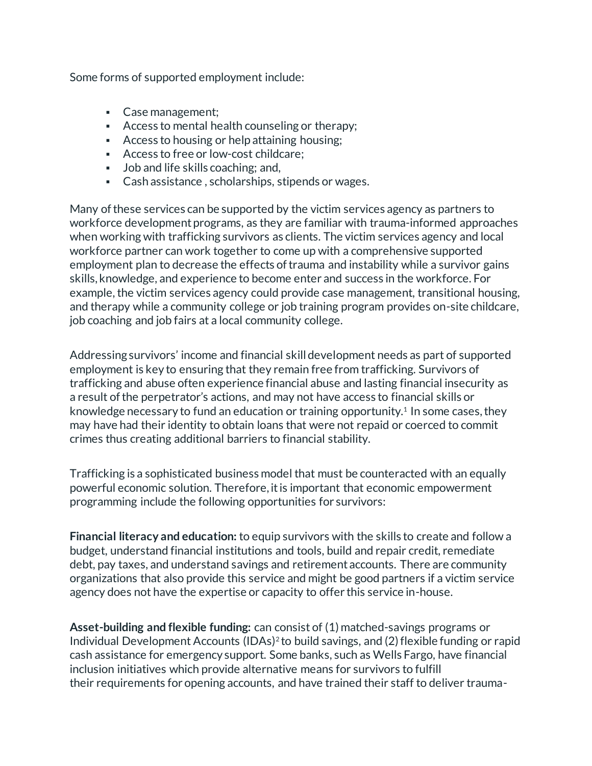Some forms of supported employment include:

- Case management;
- Access to mental health counseling or therapy;
- Access to housing or help attaining housing;
- Access to free or low-cost childcare;
- Job and life skills coaching; and,
- Cash assistance, scholarships, stipends or wages.

Many of these services can be supported by the victim services agency as partners to workforce development programs, as they are familiar with trauma-informed approaches when working with trafficking survivors as clients. The victim services agency and local workforce partner can work together to come up with a comprehensive supported employment plan to decrease the effects of trauma and instability while a survivor gains skills, knowledge, and experience to become enter and success in the workforce. For example, the victim services agency could provide case management, transitional housing, and therapy while a community college or job training program provides on-site childcare, job coaching and job fairs at a local community college.

Addressing survivors' income and financial skill development needs as part of supported employment is key to ensuring that they remain free from trafficking. Survivors of trafficking and abuse often experience financial abuse and lasting financial insecurity as a result of the perpetrator's actions, and may not have access to financial skills or knowledge necessary to fund an education or training opportunity.<sup>1</sup> In some cases, they may have had their identity to obtain loans that were not repaid or coerced to commit crimes thus creating additional barriers to financial stability.

Trafficking is a sophisticated business model that must be counteracted with an equally powerful economic solution. Therefore, it is important that economic empowerment programming include the following opportunities for survivors:

**Financial literacy and education:** to equip survivors with the skills to create and follow a budget, understand financial institutions and tools, build and repair credit, remediate debt, pay taxes, and understand savings and retirement accounts. There are community organizations that also provide this service and might be good partners if a victim service agency does not have the expertise or capacity to offer this service in-house.

**Asset-building and flexible funding:** can consist of (1) matched-savings programs or Individual Development Accounts (IDAs)<sup>2</sup> to build savings, and (2) flexible funding or rapid cash assistance for emergency support. Some banks, such as Wells Fargo, have financial inclusion initiatives which provide alternative means for survivors to fulfill their requirements for opening accounts, and have trained their staff to deliver trauma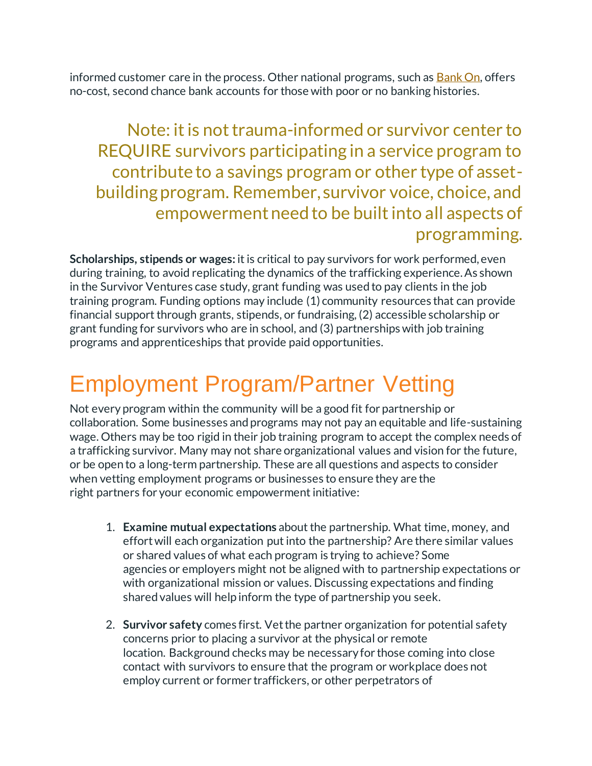informed customer care in the process. Other national programs, such as [Bank On,](https://joinbankon.org/) offers no-cost, second chance bank accounts for those with poor or no banking histories.

Note: it is not trauma-informed or survivor center to REQUIRE survivors participating in a service program to contribute to a savings program or other type of assetbuilding program. Remember, survivor voice, choice, and empowerment need to be built into all aspects of programming.

**Scholarships, stipends or wages:** it is critical to pay survivors for work performed, even during training, to avoid replicating the dynamics of the trafficking experience. As shown in the Survivor Ventures case study, grant funding was used to pay clients in the job training program. Funding options may include (1) community resources that can provide financial support through grants, stipends, or fundraising, (2) accessible scholarship or grant funding for survivors who are in school, and (3) partnerships with job training programs and apprenticeships that provide paid opportunities.

#### Employment Program/Partner Vetting

Not every program within the community will be a good fit for partnership or collaboration. Some businesses and programs may not pay an equitable and life-sustaining wage. Others may be too rigid in their job training program to accept the complex needs of a trafficking survivor. Many may not share organizational values and vision for the future, or be open to a long-term partnership. These are all questions and aspects to consider when vetting employment programs or businesses to ensure they are the right partners for your economic empowerment initiative:

- 1. **Examine mutual expectations** about the partnership. What time, money, and effortwill each organization put into the partnership? Are there similar values or shared values of what each program is trying to achieve? Some agencies or employers might not be aligned with to partnership expectations or with organizational mission or values. Discussing expectations and finding shared values will help inform the type of partnership you seek.
- 2. **Survivor safety** comes first. Vet the partner organization for potential safety concerns prior to placing a survivor at the physical or remote location. Background checks may be necessary for those coming into close contact with survivors to ensure that the program or workplace does not employ current or former traffickers, or other perpetrators of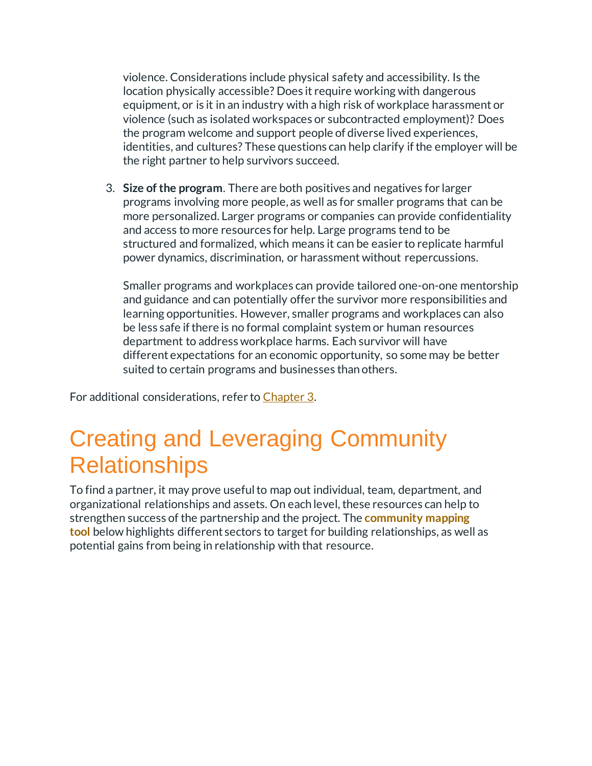violence. Considerations include physical safety and accessibility. Is the location physically accessible? Does it require working with dangerous equipment, or is it in an industry with a high risk of workplace harassment or violence (such as isolated workspaces or subcontracted employment)? Does the program welcome and support people of diverse lived experiences, identities, and cultures? These questions can help clarify if the employer will be the right partner to help survivors succeed.

3. **Size of the program**. There are both positives and negatives for larger programs involving more people, as well as for smaller programs that can be more personalized. Larger programs or companies can provide confidentiality and access to more resources for help. Large programs tend to be structured and formalized, which means it can be easier to replicate harmful power dynamics, discrimination, or harassment without repercussions.

Smaller programs and workplaces can provide tailored one-on-one mentorship and guidance and can potentially offer the survivor more responsibilities and learning opportunities. However, smaller programs and workplaces can also be less safe if there is no formal complaint system or human resources department to address workplace harms. Each survivor will have different expectations for an economic opportunity, so some may be better suited to certain programs and businesses than others.

For additional considerations, refer to [Chapter](https://collaborativeresponses.com/chapter-3/) 3.

#### Creating and Leveraging Community **Relationships**

To find a partner, it may prove usefulto map out individual, team, department, and organizational relationships and assets. On each level, these resources can help to strengthen success of the partnership and the project. The **[community mapping](https://www.futureswithoutviolence.org/wp-content/uploads/PRE-WORK-Community-Resource-Mapping-Tool.pdf)  [tool](https://www.futureswithoutviolence.org/wp-content/uploads/PRE-WORK-Community-Resource-Mapping-Tool.pdf)** below highlights different sectors to target for building relationships, as well as potential gains from being in relationship with that resource.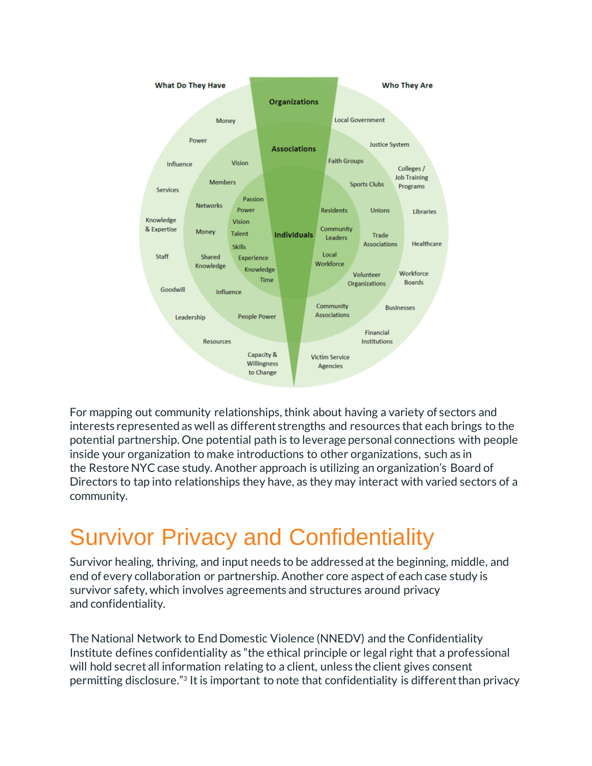

For mapping out community relationships, think about having a variety of sectors and interests represented as well as different strengths and resources that each brings to the potential partnership. One potential path is to leverage personal connections with people inside your organization to make introductions to other organizations, such as in the Restore NYC case study. Another approach is utilizing an organization's Board of Directors to tap into relationships they have, as they may interact with varied sectors of a community.

### Survivor Privacy and Confidentiality

Survivor healing, thriving, and input needs to be addressed at the beginning, middle, and end of every collaboration or partnership. Another core aspect of each case study is survivor safety, which involves agreements and structures around privacy and confidentiality.

The National Network to End Domestic Violence (NNEDV) and the Confidentiality Institute defines confidentiality as "the ethical principle or legal right that a professional will hold secret all information relating to a client, unless the client gives consent permitting disclosure."<sup>3</sup> It is important to note that confidentiality is different than privacy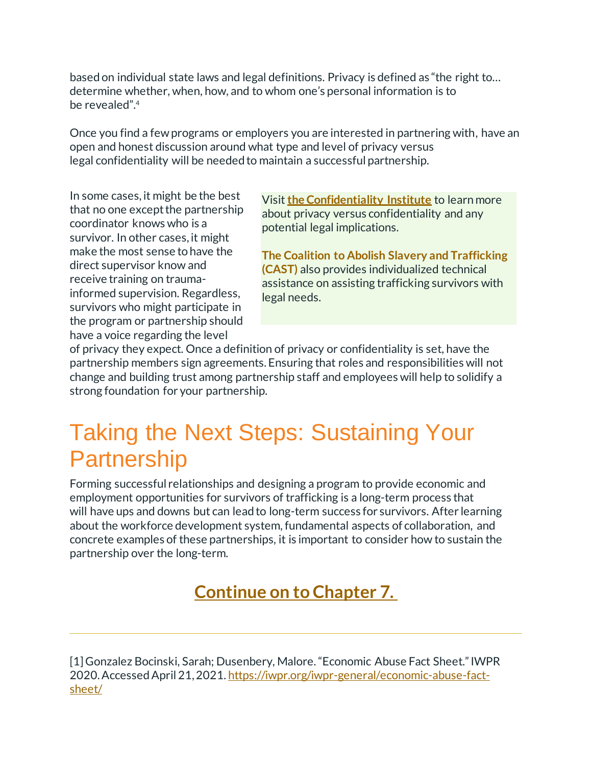based on individual state laws and legal definitions. Privacy is defined as "the right to… determine whether, when, how, and to whom one's personal information is to be revealed".<sup>4</sup>

Once you find a few programs or employers you are interested in partnering with, have an open and honest discussion around what type and level of privacy versus legal confidentiality will be needed to maintain a successful partnership.

In some cases, it might be the best that no one except the partnership coordinator knows who is a survivor. In other cases, it might make the most sense to have the direct supervisor know and receive training on traumainformed supervision. Regardless, survivors who might participate in the program or partnership should have a voice regarding the level

Visit **[the Confidentiality Institute](https://www.confidentialityinstitute.org/)** to learn more about privacy versus confidentiality and any potential legal implications.

**[The Coalition to Abolish Slavery and Trafficking](https://www.castla.org/) [\(CAST\)](https://www.castla.org/)** also provides individualized technical assistance on assisting trafficking survivors with legal needs.

of privacy they expect. Once a definition of privacy or confidentiality is set, have the partnership members sign agreements. Ensuring that roles and responsibilities will not change and building trust among partnership staff and employees will help to solidify a strong foundation for your partnership.

#### Taking the Next Steps: Sustaining Your **Partnership**

Forming successful relationships and designing a program to provide economic and employment opportunities for survivors of trafficking is a long-term process that will have ups and downs but can lead to long-term success for survivors. After learning about the workforce development system, fundamental aspects of collaboration, and concrete examples of these partnerships, it is important to consider how to sustain the partnership over the long-term.

#### **[Continue on to Chapter 7.](https://collaborativeresponses.com/chapter-7/)**

[1] Gonzalez Bocinski, Sarah; Dusenbery, Malore. "Economic Abuse Fact Sheet." IWPR 2020. Accessed April 21, 2021. [https://iwpr.org/iwpr-general/economic-abuse-fact](https://iwpr.org/iwpr-general/economic-abuse-fact-sheet/)[sheet/](https://iwpr.org/iwpr-general/economic-abuse-fact-sheet/)